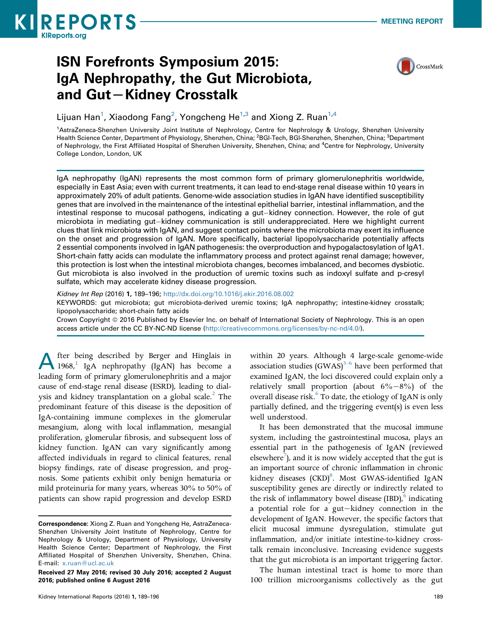# ISN Forefronts Symposium 2015: IgA Nephropathy, the Gut Microbiota, and Gut-Kidney Crosstalk

**KIREPORTS** 



Lijuan Han<sup>1</sup>, Xiaodong Fang<sup>2</sup>, Yongcheng He<sup>1,3</sup> and Xiong Z. Ruan<sup>1,4</sup>

<sup>1</sup>AstraZeneca-Shenzhen University Joint Institute of Nephrology, Centre for Nephrology & Urology, Shenzhen University Health Science Center, Department of Physiology, Shenzhen, China; <sup>2</sup>BGI-Tech, BGI-Shenzhen, Shenzhen, China; <sup>3</sup>Department of Nephrology, the First Affiliated Hospital of Shenzhen University, Shenzhen, China; and <sup>4</sup>Centre for Nephrology, University College London, London, UK

IgA nephropathy (IgAN) represents the most common form of primary glomerulonephritis worldwide, especially in East Asia; even with current treatments, it can lead to end-stage renal disease within 10 years in approximately 20% of adult patients. Genome-wide association studies in IgAN have identified susceptibility genes that are involved in the maintenance of the intestinal epithelial barrier, intestinal inflammation, and the intestinal response to mucosal pathogens, indicating a gut-kidney connection. However, the role of gut microbiota in mediating gut-kidney communication is still underappreciated. Here we highlight current clues that link microbiota with IgAN, and suggest contact points where the microbiota may exert its influence on the onset and progression of IgAN. More specifically, bacterial lipopolysaccharide potentially affects 2 essential components involved in IgAN pathogenesis: the overproduction and hypogalactosylation of IgA1. Short-chain fatty acids can modulate the inflammatory process and protect against renal damage; however, this protection is lost when the intestinal microbiota changes, becomes imbalanced, and becomes dysbiotic. Gut microbiota is also involved in the production of uremic toxins such as indoxyl sulfate and p-cresyl sulfate, which may accelerate kidney disease progression.

Kidney Int Rep (2016) 1, 189–196; <http://dx.doi.org/10.1016/j.ekir.2016.08.002>

KEYWORDS: gut microbiota; gut microbiota-derived uremic toxins; IgA nephropathy; intestine-kidney crosstalk; lipopolysaccharide; short-chain fatty acids

Crown Copyright ª 2016 Published by Elsevier Inc. on behalf of International Society of Nephrology. This is an open access article under the CC BY-NC-ND license ([http://creativecommons.org/licenses/by-nc-nd/4.0/\)](http://creativecommons.org/licenses/by-nc-nd/4.0/).

A fter being described by Berger and Hinglais in 1968,<sup>1</sup> IgA nephropathy (IgAN) has become a leading form of primary glomerulonephritis and a major cause of end-stage renal disease (ESRD), leading to dialysis and kidney transplantation on a global scale. $\degree$  The predominant feature of this disease is the deposition of IgA-containing immune complexes in the glomerular mesangium, along with local inflammation, mesangial proliferation, glomerular fibrosis, and subsequent loss of kidney function. IgAN can vary significantly among affected individuals in regard to clinical features, renal biopsy findings, rate of disease progression, and prognosis. Some patients exhibit only benign hematuria or mild proteinuria for many years, whereas 30% to 50% of patients can show rapid progression and develop ESRD

within 20 years. Althoug[h 4](#page-5-0) large-scale genome-wide association studies  $(GWAS)^{3-6}$  have been performed that examined IgAN, the loci discovered could explain only a relatively small proportion (about  $6\% - 8\%$ ) of the overall disease risk.<sup>6</sup> To date, the etiology of IgAN is only partially defined, and the triggering event(s) is even less well understood.

It has been demonstrated that the mucosal immune system, including the gastrointestinal mucosa, plays an essential part in the pathogenesis of IgAN (reviewed elsewhere<sup>7</sup>), and it is now widely accepted that the gut is an important source of chronic inflammation in chronic kidney diseases (CKD)<sup>[8](#page-5-0)</sup>. Most GWAS-identified IgAN susceptibility genes are directly or indirectly related to the risk of inflammatory bowel disease  $(IBD)$ ,  $\circ$  indicating a potential role for a gut-kidney connection in the development of IgAN. However, the specific factors that elicit mucosal immune dysregulation, stimulate gut inflammation, and/or initiate intestine-to-kidney crosstalk remain inconclusive. Increasing evidence suggests that the gut microbiota is an important triggering factor.

The human intestinal tract is home to more than 100 trillion microorganisms collectively as the gut

Correspondence: Xiong Z. Ruan and Yongcheng He, AstraZeneca-Shenzhen University Joint Institute of Nephrology, Centre for Nephrology & Urology, Department of Physiology, University Health Science Center; Department of Nephrology, the First Affiliated Hospital of Shenzhen University, Shenzhen, China. E-mail: [x.ruan@ucl.ac.uk](mailto:x.ruan@ucl.ac.uk)

Received 27 May 2016; revised 30 July 2016; accepted 2 August 2016; published online 6 August 2016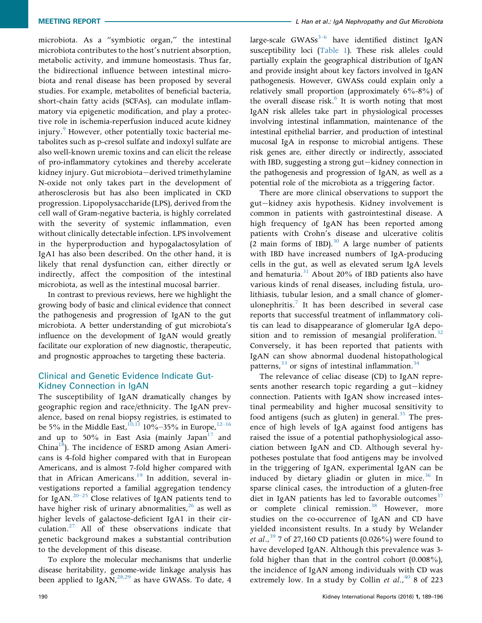microbiota. As a "symbiotic organ," the intestinal microbiota contributes to the host's nutrient absorption, metabolic activity, and immune homeostasis. Thus far, the bidirectional influence between intestinal microbiota and renal disease has been proposed by several studies. For example, metabolites of beneficial bacteria, short-chain fatty acids (SCFAs), can modulate inflammatory via epigenetic modification, and play a protective role in ischemia-reperfusion induced acute kidney injury.<sup>[9](#page-6-0)</sup> However, other potentially toxic bacterial metabolites such as p-cresol sulfate and indoxyl sulfate are also well-known uremic toxins and can elicit the release of pro-inflammatory cytokines and thereby accelerate kidney injury. Gut microbiota-derived trimethylamine N-oxide not only takes part in the development of atherosclerosis but has also been implicated in CKD progression. Lipopolysaccharide (LPS), derived from the cell wall of Gram-negative bacteria, is highly correlated with the severity of systemic inflammation, even without clinically detectable infection. LPS involvement in the hyperproduction and hypogalactosylation of IgA1 has also been described. On the other hand, it is likely that renal dysfunction can, either directly or indirectly, affect the composition of the intestinal microbiota, as well as the intestinal mucosal barrier.

In contrast to previous reviews, here we highlight the growing body of basic and clinical evidence that connect the pathogenesis and progression of IgAN to the gut microbiota. A better understanding of gut microbiota's influence on the development of IgAN would greatly facilitate our exploration of new diagnostic, therapeutic, and prognostic approaches to targeting these bacteria.

#### Clinical and Genetic Evidence Indicate Gut-Kidney Connection in IgAN

The susceptibility of IgAN dramatically changes by geographic region and race/ethnicity. The IgAN prevalence, based on renal biopsy registries, is estimat[ed to](#page-6-0) be 5% in the Middle East,<sup>[10,11](#page-6-0)</sup> 10%–35% in Europe,<sup>12–16</sup> and up to 50% in East Asia (mainly Japan $17$  and China<sup>18</sup>). The incidence of ESRD among Asian Americans is 4-fold higher compared with that in European Americans, and is almost 7-fold higher compared with that in African Americans.<sup>19</sup> In addition, several investigatio[ns re](#page-6-0)ported a familial aggregation tendency for IgAN.<sup>20–25</sup> Close relatives of IgAN patients tend to have higher risk of urinary abnormalities, $^{26}$  $^{26}$  $^{26}$  as well as higher levels of galactose-deficient IgA1 in their circulation.[27](#page-6-0) All of these observations indicate that genetic background makes a substantial contribution to the development of this disease.

To explore the molecular mechanisms that underlie disease heritability, genome-wide linkage analysis has been applied to IgAN,<sup>[28,29](#page-6-0)</sup> as have GWASs. To date, 4

large-scale  $GWASS^{3-6}$  have identified distinct IgAN susceptibility loci [\(Table 1](#page-2-0)). These risk alleles could partially explain the geographical distribution of IgAN and provide insight about key factors involved in IgAN pathogenesis. However, GWASs could explain only a relatively small proportion (approximately 6%-8%) of the overall disease risk. $6$  It is worth noting that most IgAN risk alleles take part in physiological processes involving intestinal inflammation, maintenance of the intestinal epithelial barrier, and production of intestinal mucosal IgA in response to microbial antigens. These risk genes are, either directly or indirectly, associated with IBD, suggesting a strong  $gut$ -kidney connection in the pathogenesis and progression of IgAN, as well as a potential role of the microbiota as a triggering factor.

There are more clinical observations to support the gut-kidney axis hypothesis. Kidney involvement is common in patients with gastrointestinal disease. A high frequency of IgAN has been reported among patients with Crohn's disease and ulcerative colitis (2 main forms of IBD). $^{30}$  $^{30}$  $^{30}$  A large number of patients with IBD have increased numbers of IgA-producing cells in the gut, as well as elevated serum IgA levels and hematuria.<sup>[31](#page-6-0)</sup> About 20% of IBD patients also have various kinds of renal diseases, including fistula, urolithiasis, tubular lesion, and a small chance of glomer-ulonephritis.<sup>[7](#page-5-0)</sup> It has been described in several case reports that successful treatment of inflammatory colitis can lead to disappearance of glomerular IgA depo-sition and to remission of mesangial proliferation.<sup>[32](#page-6-0)</sup> Conversely, it has been reported that patients with IgAN can show abnormal duodenal histopathological patterns,  $33$  or signs of intestinal inflammation.  $34$ 

The relevance of celiac disease (CD) to IgAN represents another research topic regarding a gut-kidney connection. Patients with IgAN show increased intestinal permeability and higher mucosal sensitivity to food antigens (such as gluten) in general.<sup>[35](#page-6-0)</sup> The presence of high levels of IgA against food antigens has raised the issue of a potential pathophysiological association between IgAN and CD. Although several hypotheses postulate that food antigens may be involved in the triggering of IgAN, experimental IgAN can be induced by dietary gliadin or gluten in mice. $36$  In sparse clinical cases, the introduction of a gluten-free diet in IgAN patients has led to favorable outcomes<sup>37</sup> or complete clinical remission.<sup>[38](#page-6-0)</sup> However, more studies on the co-occurrence of IgAN and CD have yielded inconsistent results. In a study by Welander et al.,<sup>[39](#page-6-0)</sup> 7 of 27,160 CD patients (0.026%) were found to have developed IgAN. Although this prevalence was 3 fold higher than that in the control cohort (0.008%), the incidence of IgAN among individuals with CD was extremely low. In a study by Collin et al., $40$  8 of 223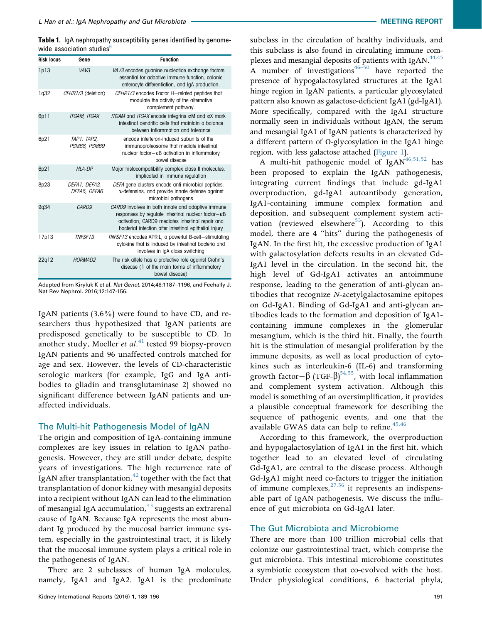<span id="page-2-0"></span>Table 1. IgA nephropathy susceptibility genes identified by genome-wide association studies<sup>[6](#page-5-0)</sup>

| <b>Risk locus</b> | Gene                          | <b>Function</b>                                                                                                                                                                                                       |
|-------------------|-------------------------------|-----------------------------------------------------------------------------------------------------------------------------------------------------------------------------------------------------------------------|
| 1p13              | VAV3                          | VAV3 encodes guanine nucleotide exchange factors<br>essential for adaptive immune function, colonic<br>enterocyte differentiation, and IgA production.                                                                |
| 1q32              | CFHR1/3 (deletion)            | CFHR1/3 encodes Factor H-related peptides that<br>modulate the activity of the alternative<br>complement pathway.                                                                                                     |
| 6p11              | <b>ITGAM, ITGAX</b>           | <i>ITGAM</i> and <i>ITGAX</i> encode integrins $\alpha$ M and $\alpha$ X mark<br>intestinal dendritic cells that maintain a balance<br>between inflammation and tolerance                                             |
| 6p21              | TAP1, TAP2,<br>PSMB8, PSMB9   | encode interferon-induced subunits of the<br>immunoproteosome that mediate intestinal<br>nuclear factor-KB activation in inflammatory<br>bowel disease                                                                |
| 6p21              | HLA-DP                        | Major histocompatibility complex class II molecules,<br>implicated in immune regulation                                                                                                                               |
| 8p23              | DEFA1, DEFA3,<br>DEFA5, DEFA6 | DEFA gene clusters encode anti-microbial peptides,<br>$\alpha$ -defensins, and provide innate defense against<br>microbial pathogens                                                                                  |
| 9q34              | CARD <sub>9</sub>             | CARD9 involves in both innate and adaptive immune<br>responses by regulate intestinal nuclear factor-KB<br>activation; CARD9 mediates intestinal repair and<br>bacterial infection after intestinal epithelial injury |
| 17p13             | TNFSF13                       | TNFSF13 encodes APRIL, a powerful B-cell-stimulating<br>cytokine that is induced by intestinal bacteria and<br>involves in IgA class switching                                                                        |
| 22g12             | HORMAD2                       | The risk allele has a protective role against Crohn's<br>disease (1 of the main forms of inflammatory<br>bowel disease)                                                                                               |

Adapted from Kiryluk K et al. Nat Genet. 2014;46:1187-1196, and Feehally J. Nat Rev Nephrol. 2016;12:147-156.

IgAN patients (3.6%) were found to have CD, and researchers thus hypothesized that IgAN patients are predisposed genetically to be susceptible to CD. In another study, Moeller et  $al.^{41}$  $al.^{41}$  $al.^{41}$  tested 99 biopsy-proven IgAN patients and 96 unaffected controls matched for age and sex. However, the levels of CD-characteristic serologic markers (for example, IgG and IgA antibodies to gliadin and transglutaminase 2) showed no significant difference between IgAN patients and unaffected individuals.

#### The Multi-hit Pathogenesis Model of IgAN

The origin and composition of IgA-containing immune complexes are key issues in relation to IgAN pathogenesis. However, they are still under debate, despite years of investigations. The high recurrence rate of IgAN after transplantation, $42$  together with the fact that transplantation of donor kidney with mesangial deposits into a recipient without IgAN can lead to the elimination of mesangial IgA accumulation,<sup>[43](#page-6-0)</sup> suggests an extrarenal cause of IgAN. Because IgA represents the most abundant Ig produced by the mucosal barrier immune system, especially in the gastrointestinal tract, it is likely that the mucosal immune system plays a critical role in the pathogenesis of IgAN.

There are 2 subclasses of human IgA molecules, namely, IgA1 and IgA2. IgA1 is the predominate subclass in the circulation of healthy individuals, and this subclass is also found in circulating immune complexes and mesangial deposits of patients with IgAN.<sup>44,45</sup> A number of investigations<sup>46–50</sup> have reported the presence of hypogalactosylated structures at the IgA1 hinge region in IgAN patients, a particular glycosylated pattern also known as galactose-deficient IgA1 (gd-IgA1). More specifically, compared with the IgA1 structure normally seen in individuals without IgAN, the serum and mesangial IgA1 of IgAN patients is characterized by a different pattern of O-glycosylation in the IgA1 hinge region, with less galactose attached ([Figure 1\)](#page-3-0).

A multi-hit pathogenic model of  $IgAN^{46,51,52}$  $IgAN^{46,51,52}$  $IgAN^{46,51,52}$  has been proposed to explain the IgAN pathogenesis, integrating current findings that include gd-IgA1 overproduction, gd-IgA1 autoantibody generation, IgA1-containing immune complex formation and deposition, and subsequent complement system activation (reviewed elsewhere $53$ ). According to this model, there are 4 "hits" during the pathogenesis of IgAN. In the first hit, the excessive production of IgA1 with galactosylation defects results in an elevated Gd-IgA1 level in the circulation. In the second hit, the high level of Gd-IgA1 activates an antoimmune response, leading to the generation of anti-glycan antibodies that recognize N-acetylgalactosamine epitopes on Gd-IgA1. Binding of Gd-IgA1 and anti-glycan antibodies leads to the formation and deposition of IgA1 containing immune complexes in the glomerular mesangium, which is the third hit. Finally, the fourth hit is the stimulation of mesangial proliferation by the immune deposits, as well as local production of cytokines such as interleukin-6 (IL-6) and transforming growth factor $-\beta$  (TGF- $\beta$ )<sup>54,55</sup>, with local inflammation and complement system activation. Although this model is something of an oversimplification, it provides a plausible conceptual framework for describing the sequence of pathogenic events, and one that the available GWAS data can help to refine. $45,46$ 

According to this framework, the overproduction and hypogalactosylation of IgA1 in the first hit, which together lead to an elevated level of circulating Gd-IgA1, are central to the disease process. Although Gd-IgA1 might need co-factors to trigger the initiation of immune complexes,  $27,56$  it represents an indispensable part of IgAN pathogenesis. We discuss the influence of gut microbiota on Gd-IgA1 later.

#### The Gut Microbiota and Microbiome

There are more than 100 trillion microbial cells that colonize our gastrointestinal tract, which comprise the gut microbiota. This intestinal microbiome constitutes a symbiotic ecosystem that co-evolved with the host. Under physiological conditions, 6 bacterial phyla,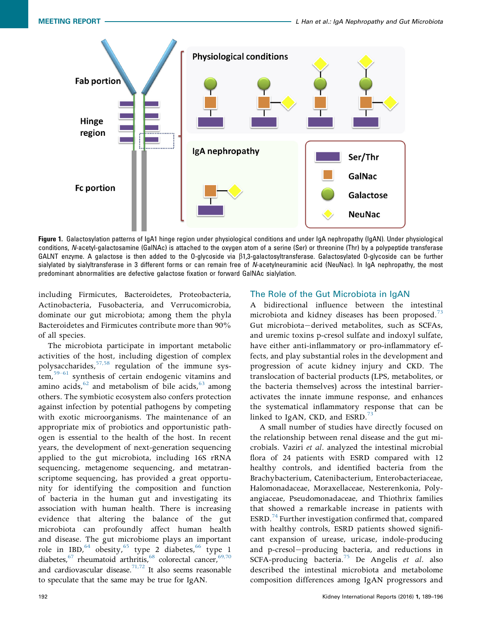<span id="page-3-0"></span>

Figure 1. Galactosylation patterns of IgA1 hinge region under physiological conditions and under IgA nephropathy (IgAN). Under physiological conditions, N-acetyl-galactosamine (GalNAc) is attached to the oxygen atom of a serine (Ser) or threonine (Thr) by a polypeptide transferase GALNT enzyme. A galactose is then added to the O-glycoside via  $\beta$ 1,3-galactosyltransferase. Galactosylated O-glycoside can be further sialylated by sialyltransferase in 3 different forms or can remain free of N-acetylneuraminic acid (NeuNac). In IgA nephropathy, the most predominant abnormalities are defective galactose fixation or forward GalNAc sialylation.

including Firmicutes, Bacteroidetes, Proteobacteria, Actinobacteria, Fusobacteria, and Verrucomicrobia, dominate our gut microbiota; among them the phyla Bacteroidetes and Firmicutes contribute more than 90% of all species.

The microbiota participate in important metabolic activities of the host, including digestion of complex polysaccharides,[57,58](#page-7-0) regulation of the immune system,[59](#page-7-0)–<sup>61</sup> synthesis of certain endogenic vitamins and amino acids, $62$  and metabolism of bile acids, $63$  among others. The symbiotic ecosystem also confers protection against infection by potential pathogens by competing with exotic microorganisms. The maintenance of an appropriate mix of probiotics and opportunistic pathogen is essential to the health of the host. In recent years, the development of next-generation sequencing applied to the gut microbiota, including 16S rRNA sequencing, metagenome sequencing, and metatranscriptome sequencing, has provided a great opportunity for identifying the composition and function of bacteria in the human gut and investigating its association with human health. There is increasing evidence that altering the balance of the gut microbiota can profoundly affect human health and disease. The gut microbiome plays an important role in IBD,  $^{64}$  $^{64}$  $^{64}$  obesity,  $^{65}$  $^{65}$  $^{65}$  type 2 diabetes,  $^{66}$  type 1 diabetes, <sup>67</sup> rheumatoid arthritis, <sup>68</sup> colorectal cancer, <sup>69,70</sup> and cardiovascular disease.<sup>71,72</sup> It also seems reasonable to speculate that the same may be true for IgAN.

#### The Role of the Gut Microbiota in IgAN

A bidirectional influence between the intestinal microbiota and kidney diseases has been proposed.<sup>[73](#page-7-0)</sup> Gut microbiota-derived metabolites, such as SCFAs, and uremic toxins p-cresol sulfate and indoxyl sulfate, have either anti-inflammatory or pro-inflammatory effects, and play substantial roles in the development and progression of acute kidney injury and CKD. The translocation of bacterial products (LPS, metabolites, or the bacteria themselves) across the intestinal barrieractivates the innate immune response, and enhances the systematical inflammatory response that can be linked to IgAN, CKD, and ESRD. $^{73}$  $^{73}$  $^{73}$ 

A small number of studies have directly focused on the relationship between renal disease and the gut microbials. Vaziri et al. analyzed the intestinal microbial flora of 24 patients with ESRD compared with 12 healthy controls, and identified bacteria from the Brachybacterium, Catenibacterium, Enterobacteriaceae, Halomonadaceae, Moraxellaceae, Nesterenkonia, Polyangiaceae, Pseudomonadaceae, and Thiothrix families that showed a remarkable increase in patients with ESRD.<sup>74</sup> Further investigation confirmed that, compared with healthy controls, ESRD patients showed significant expansion of urease, uricase, indole-producing and p-cresol-producing bacteria, and reductions in SCFA-producing bacteria.<sup>[75](#page-7-0)</sup> De Angelis et al. also described the intestinal microbiota and metabolome composition differences among IgAN progressors and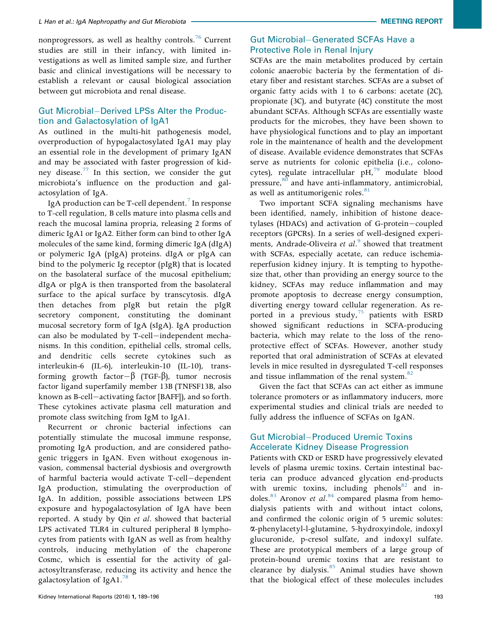nonprogressors, as well as healthy controls.<sup>[76](#page-7-0)</sup> Current studies are still in their infancy, with limited investigations as well as limited sample size, and further basic and clinical investigations will be necessary to establish a relevant or causal biological association between gut microbiota and renal disease.

## Gut Microbial-Derived LPSs Alter the Production and Galactosylation of IgA1

As outlined in the multi-hit pathogenesis model, overproduction of hypogalactosylated IgA1 may play an essential role in the development of primary IgAN and may be associated with faster progression of kidney disease. $77$  In this section, we consider the gut microbiota's influence on the production and galactosylation of IgA.

IgA production can be T-cell dependent.<sup>[7](#page-5-0)</sup> In response to T-cell regulation, B cells mature into plasma cells and reach the mucosal lamina propria, releasing 2 forms of dimeric IgA1 or IgA2. Either form can bind to other IgA molecules of the same kind, forming dimeric IgA (dIgA) or polymeric IgA (pIgA) proteins. dIgA or pIgA can bind to the polymeric Ig receptor (pIgR) that is located on the basolateral surface of the mucosal epithelium; dIgA or pIgA is then transported from the basolateral surface to the apical surface by transcytosis. dIgA then detaches from pIgR but retain the pIgR secretory component, constituting the dominant mucosal secretory form of IgA (sIgA). IgA production can also be modulated by T-cell-independent mechanisms. In this condition, epithelial cells, stromal cells, and dendritic cells secrete cytokines such as interleukin-6 (IL-6), interleukin-10 (IL-10), transforming growth factor $-\beta$  (TGF- $\beta$ ), tumor necrosis factor ligand superfamily member 13B (TNFSF13B, also known as B-cell-activating factor [BAFF]), and so forth. These cytokines activate plasma cell maturation and promote class switching from IgM to IgA1.

Recurrent or chronic bacterial infections can potentially stimulate the mucosal immune response, promoting IgA production, and are considered pathogenic triggers in IgAN. Even without exogenous invasion, commensal bacterial dysbiosis and overgrowth of harmful bacteria would activate T-cell-dependent IgA production, stimulating the overproduction of IgA. In addition, possible associations between LPS exposure and hypogalactosylation of IgA have been reported. A study by Qin et al. showed that bacterial LPS activated TLR4 in cultured peripheral B lymphocytes from patients with IgAN as well as from healthy controls, inducing methylation of the chaperone Cosmc, which is essential for the activity of galactosyltransferase, reducing its activity and hence the galactosylation of IgA1. $78$ 

#### **Gut Microbial-Generated SCFAs Have a** Protective Role in Renal Injury

SCFAs are the main metabolites produced by certain colonic anaerobic bacteria by the fermentation of dietary fiber and resistant starches. SCFAs are a subset of organic fatty acids with 1 to 6 carbons: acetate (2C), propionate (3C), and butyrate (4C) constitute the most abundant SCFAs. Although SCFAs are essentially waste products for the microbes, they have been shown to have physiological functions and to play an important role in the maintenance of health and the development of disease. Available evidence demonstrates that SCFAs serve as nutrients for colonic epithelia (i.e., colono-cytes), regulate intracellular pH,<sup>[79](#page-7-0)</sup> modulate blood pressure,<sup>80</sup> and have anti-inflammatory, antimicrobial, as well as antitumorigenic roles.<sup>[81](#page-7-0)</sup>

Two important SCFA signaling mechanisms have been identified, namely, inhibition of histone deace $ty$ lases (HDACs) and activation of G-protein $-coupled$ receptors (GPCRs). In a series of well-designed experi-ments, Andrade-Oliveira et al.<sup>[9](#page-6-0)</sup> showed that treatment with SCFAs, especially acetate, can reduce ischemiareperfusion kidney injury. It is tempting to hypothesize that, other than providing an energy source to the kidney, SCFAs may reduce inflammation and may promote apoptosis to decrease energy consumption, diverting energy toward cellular regeneration. As re-ported in a previous study,<sup>[75](#page-7-0)</sup> patients with ESRD showed significant reductions in SCFA-producing bacteria, which may relate to the loss of the renoprotective effect of SCFAs. However, another study reported that oral administration of SCFAs at elevated levels in mice resulted in dysregulated T-cell responses and tissue inflammation of the renal system. $82$ 

Given the fact that SCFAs can act either as immune tolerance promoters or as inflammatory inducers, more experimental studies and clinical trials are needed to fully address the influence of SCFAs on IgAN.

# **Gut Microbial-Produced Uremic Toxins** Accelerate Kidney Disease Progression

Patients with CKD or ESRD have progressively elevated levels of plasma uremic toxins. Certain intestinal bacteria can produce advanced glycation end-products with uremic toxins, including phenols $82$  and in-doles.<sup>83</sup> Aronov et al.<sup>[84](#page-7-0)</sup> compared plasma from hemodialysis patients with and without intact colons, and confirmed the colonic origin of 5 uremic solutes: a-phenylacetyl-l-glutamine, 5-hydroxyindole, indoxyl glucuronide, p-cresol sulfate, and indoxyl sulfate. These are prototypical members of a large group of protein-bound uremic toxins that are resistant to clearance by dialysis.<sup>[85](#page-7-0)</sup> Animal studies have shown that the biological effect of these molecules includes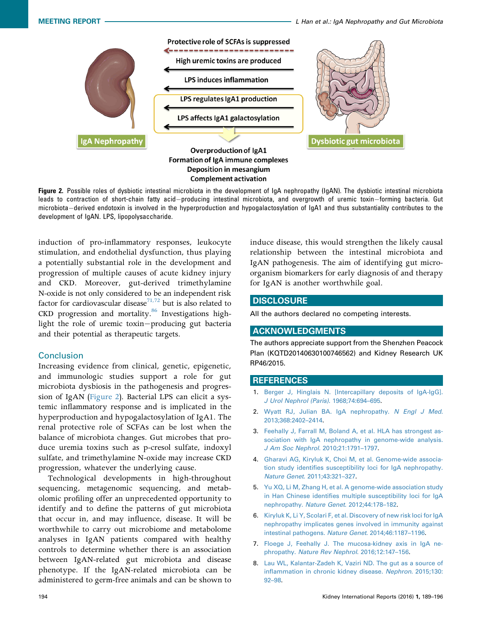<span id="page-5-0"></span>

Figure 2. Possible roles of dysbiotic intestinal microbiota in the development of IgA nephropathy (IgAN). The dysbiotic intestinal microbiota leads to contraction of short-chain fatty acid-producing intestinal microbiota, and overgrowth of uremic toxin-forming bacteria. Gut microbiota-derived endotoxin is involved in the hyperproduction and hypogalactosylation of IgA1 and thus substantiality contributes to the development of IgAN. LPS, lipopolysaccharide.

induction of pro-inflammatory responses, leukocyte stimulation, and endothelial dysfunction, thus playing a potentially substantial role in the development and progression of multiple causes of acute kidney injury and CKD. Moreover, gut-derived trimethylamine N-oxide is not only considered to be an independent risk factor for cardiovascular disease<sup>71,72</sup> but is also related to  $CKD$  progression and mortality.<sup>86</sup> Investigations highlight the role of uremic toxin-producing gut bacteria and their potential as therapeutic targets.

## **Conclusion**

Increasing evidence from clinical, genetic, epigenetic, and immunologic studies support a role for gut microbiota dysbiosis in the pathogenesis and progression of IgAN (Figure 2). Bacterial LPS can elicit a systemic inflammatory response and is implicated in the hyperproduction and hypogalactosylation of IgA1. The renal protective role of SCFAs can be lost when the balance of microbiota changes. Gut microbes that produce uremia toxins such as p-cresol sulfate, indoxyl sulfate, and trimethylamine N-oxide may increase CKD progression, whatever the underlying cause.

Technological developments in high-throughout sequencing, metagenomic sequencing, and metabolomic profiling offer an unprecedented opportunity to identify and to define the patterns of gut microbiota that occur in, and may influence, disease. It will be worthwhile to carry out microbiome and metabolome analyses in IgAN patients compared with healthy controls to determine whether there is an association between IgAN-related gut microbiota and disease phenotype. If the IgAN-related microbiota can be administered to germ-free animals and can be shown to

induce disease, this would strengthen the likely causal relationship between the intestinal microbiota and IgAN pathogenesis. The aim of identifying gut microorganism biomarkers for early diagnosis of and therapy for IgAN is another worthwhile goal.

## **DISCLOSURE**

All the authors declared no competing interests.

## ACKNOWLEDGMENTS

The authors appreciate support from the Shenzhen Peacock Plan (KQTD20140630100746562) and Kidney Research UK RP46/2015.

#### **REFERENCES**

- 1. [Berger J, Hinglais N. \[Intercapillary deposits of IgA-IgG\].](http://refhub.elsevier.com/S2468-0249(16)30053-5/sref1) [J Urol Nephrol \(Paris\)](http://refhub.elsevier.com/S2468-0249(16)30053-5/sref1). 1968;74:694–695.
- 2. [Wyatt RJ, Julian BA. IgA nephropathy.](http://refhub.elsevier.com/S2468-0249(16)30053-5/sref2) N Engl J Med. [2013;368:2402](http://refhub.elsevier.com/S2468-0249(16)30053-5/sref2)–2414.
- 3. [Feehally J, Farrall M, Boland A, et al. HLA has strongest as](http://refhub.elsevier.com/S2468-0249(16)30053-5/sref3)[sociation with IgA nephropathy in genome-wide analysis.](http://refhub.elsevier.com/S2468-0249(16)30053-5/sref3) [J Am Soc Nephrol](http://refhub.elsevier.com/S2468-0249(16)30053-5/sref3). 2010;21:1791–1797.
- 4. [Gharavi AG, Kiryluk K, Choi M, et al. Genome-wide associa](http://refhub.elsevier.com/S2468-0249(16)30053-5/sref4)tion study identifi[es susceptibility loci for IgA nephropathy.](http://refhub.elsevier.com/S2468-0249(16)30053-5/sref4) [Nature Genet](http://refhub.elsevier.com/S2468-0249(16)30053-5/sref4). 2011;43:321–327.
- 5. [Yu XQ, Li M, Zhang H, et al. A genome-wide association study](http://refhub.elsevier.com/S2468-0249(16)30053-5/sref5) in Han Chinese identifi[es multiple susceptibility loci for IgA](http://refhub.elsevier.com/S2468-0249(16)30053-5/sref5) nephropathy. [Nature Genet](http://refhub.elsevier.com/S2468-0249(16)30053-5/sref5). 2012;44:178–182.
- 6. [Kiryluk K, Li Y, Scolari F, et al. Discovery of new risk loci for IgA](http://refhub.elsevier.com/S2468-0249(16)30053-5/sref6) [nephropathy implicates genes involved in immunity against](http://refhub.elsevier.com/S2468-0249(16)30053-5/sref6) [intestinal pathogens.](http://refhub.elsevier.com/S2468-0249(16)30053-5/sref6) Nature Genet. 2014;46:1187–1196.
- 7. [Floege J, Feehally J. The mucosa-kidney axis in IgA ne](http://refhub.elsevier.com/S2468-0249(16)30053-5/sref7)phropathy. [Nature Rev Nephrol](http://refhub.elsevier.com/S2468-0249(16)30053-5/sref7). 2016;12:147–156.
- 8. [Lau WL, Kalantar-Zadeh K, Vaziri ND. The gut as a source of](http://refhub.elsevier.com/S2468-0249(16)30053-5/sref8) infl[ammation in chronic kidney disease.](http://refhub.elsevier.com/S2468-0249(16)30053-5/sref8) Nephron. 2015;130: 92–[98](http://refhub.elsevier.com/S2468-0249(16)30053-5/sref8).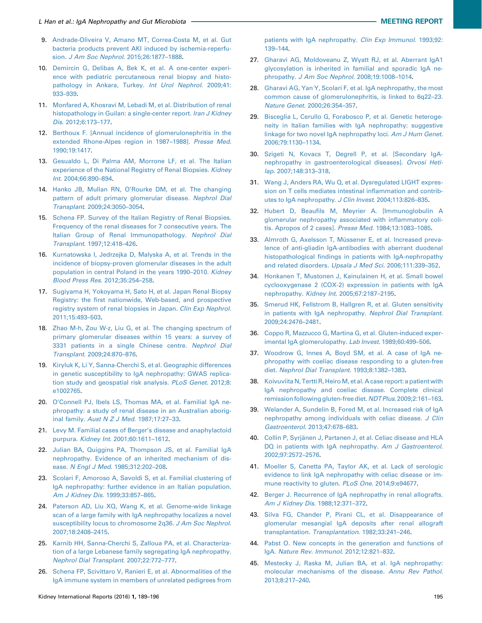- <span id="page-6-0"></span>9. [Andrade-Oliveira V, Amano MT, Correa-Costa M, et al. Gut](http://refhub.elsevier.com/S2468-0249(16)30053-5/sref9) [bacteria products prevent AKI induced by ischemia-reperfu](http://refhub.elsevier.com/S2468-0249(16)30053-5/sref9)sion. [J Am Soc Nephrol](http://refhub.elsevier.com/S2468-0249(16)30053-5/sref9). 2015;26:1877–1888.
- 10. [Demircin G, Delibas A, Bek K, et al. A one-center experi](http://refhub.elsevier.com/S2468-0249(16)30053-5/sref10)[ence with pediatric percutaneous renal biopsy and histo](http://refhub.elsevier.com/S2468-0249(16)30053-5/sref10)[pathology in Ankara, Turkey.](http://refhub.elsevier.com/S2468-0249(16)30053-5/sref10) Int Urol Nephrol. 2009;41: [933](http://refhub.elsevier.com/S2468-0249(16)30053-5/sref10)–939.
- 11. [Monfared A, Khosravi M, Lebadi M, et al. Distribution of renal](http://refhub.elsevier.com/S2468-0249(16)30053-5/sref11) [histopathology in Guilan: a single-center report.](http://refhub.elsevier.com/S2468-0249(16)30053-5/sref11) Iran J Kidney Dis[. 2012;6:173](http://refhub.elsevier.com/S2468-0249(16)30053-5/sref11)–177.
- 12. [Berthoux F. \[Annual incidence of glomerulonephritis in the](http://refhub.elsevier.com/S2468-0249(16)30053-5/sref12) [extended Rhone-Alpes region in 1987](http://refhub.elsevier.com/S2468-0249(16)30053-5/sref12)-1988]. Presse Med. [1990;19:1417](http://refhub.elsevier.com/S2468-0249(16)30053-5/sref12).
- 13. [Gesualdo L, Di Palma AM, Morrone LF, et al. The Italian](http://refhub.elsevier.com/S2468-0249(16)30053-5/sref13) [experience of the National Registry of Renal Biopsies.](http://refhub.elsevier.com/S2468-0249(16)30053-5/sref13) Kidney Int[. 2004;66:890](http://refhub.elsevier.com/S2468-0249(16)30053-5/sref13)–894.
- 14. Hanko JB, Mullan RN, O'[Rourke DM, et al. The changing](http://refhub.elsevier.com/S2468-0249(16)30053-5/sref14) [pattern of adult primary glomerular disease.](http://refhub.elsevier.com/S2468-0249(16)30053-5/sref14) Nephrol Dial Transplant[. 2009;24:3050](http://refhub.elsevier.com/S2468-0249(16)30053-5/sref14)–3054.
- 15. [Schena FP. Survey of the Italian Registry of Renal Biopsies.](http://refhub.elsevier.com/S2468-0249(16)30053-5/sref15) [Frequency of the renal diseases for 7 consecutive years. The](http://refhub.elsevier.com/S2468-0249(16)30053-5/sref15) [Italian Group of Renal Immunopathology.](http://refhub.elsevier.com/S2468-0249(16)30053-5/sref15) Nephrol Dial Transplant[. 1997;12:418](http://refhub.elsevier.com/S2468-0249(16)30053-5/sref15)–426.
- 16. [Kurnatowska I, Jedrzejka D, Malyska A, et al. Trends in the](http://refhub.elsevier.com/S2468-0249(16)30053-5/sref16) [incidence of biopsy-proven glomerular diseases in the adult](http://refhub.elsevier.com/S2468-0249(16)30053-5/sref16) [population in central Poland in the years 1990](http://refhub.elsevier.com/S2468-0249(16)30053-5/sref16)–2010. Kidney [Blood Press Res](http://refhub.elsevier.com/S2468-0249(16)30053-5/sref16). 2012;35:254–258.
- 17. [Sugiyama H, Yokoyama H, Sato H, et al. Japan Renal Biopsy](http://refhub.elsevier.com/S2468-0249(16)30053-5/sref17) Registry: the fi[rst nationwide, Web-based, and prospective](http://refhub.elsevier.com/S2468-0249(16)30053-5/sref17) [registry system of renal biopsies in Japan.](http://refhub.elsevier.com/S2468-0249(16)30053-5/sref17) Clin Exp Nephrol. [2011;15:493](http://refhub.elsevier.com/S2468-0249(16)30053-5/sref17)–503.
- 18. [Zhao M-h, Zou W-z, Liu G, et al. The changing spectrum of](http://refhub.elsevier.com/S2468-0249(16)30053-5/sref18) [primary glomerular diseases within 15 years: a survey of](http://refhub.elsevier.com/S2468-0249(16)30053-5/sref18) [3331 patients in a single Chinese centre.](http://refhub.elsevier.com/S2468-0249(16)30053-5/sref18) Nephrol Dial Transplant[. 2009;24:870](http://refhub.elsevier.com/S2468-0249(16)30053-5/sref18)–876.
- 19. [Kiryluk K, Li Y, Sanna-Cherchi S, et al. Geographic differences](http://refhub.elsevier.com/S2468-0249(16)30053-5/sref19) [in genetic susceptibility to IgA nephropathy: GWAS replica](http://refhub.elsevier.com/S2468-0249(16)30053-5/sref19)[tion study and geospatial risk analysis.](http://refhub.elsevier.com/S2468-0249(16)30053-5/sref19) PLoS Genet. 2012;8: [e1002765](http://refhub.elsevier.com/S2468-0249(16)30053-5/sref19).
- 20. O'[Connell PJ, Ibels LS, Thomas MA, et al. Familial IgA ne](http://refhub.elsevier.com/S2468-0249(16)30053-5/sref20)[phropathy: a study of renal disease in an Australian aborig-](http://refhub.elsevier.com/S2468-0249(16)30053-5/sref20)inal family. [Aust N Z J Med](http://refhub.elsevier.com/S2468-0249(16)30053-5/sref20). 1987;17:27-33.
- 21. [Levy M. Familial cases of Berger](http://refhub.elsevier.com/S2468-0249(16)30053-5/sref21)'s disease and anaphylactoid purpura. Kidney Int[. 2001;60:1611](http://refhub.elsevier.com/S2468-0249(16)30053-5/sref21)–1612.
- 22. [Julian BA, Quiggins PA, Thompson JS, et al. Familial IgA](http://refhub.elsevier.com/S2468-0249(16)30053-5/sref22) [nephropathy. Evidence of an inherited mechanism of dis](http://refhub.elsevier.com/S2468-0249(16)30053-5/sref22)ease. N Engl J Med[. 1985;312:202](http://refhub.elsevier.com/S2468-0249(16)30053-5/sref22)–208.
- 23. [Scolari F, Amoroso A, Savoldi S, et al. Familial clustering of](http://refhub.elsevier.com/S2468-0249(16)30053-5/sref23) [IgA nephropathy: further evidence in an Italian population.](http://refhub.elsevier.com/S2468-0249(16)30053-5/sref23) [Am J Kidney Dis](http://refhub.elsevier.com/S2468-0249(16)30053-5/sref23). 1999;33:857–865.
- 24. [Paterson AD, Liu XQ, Wang K, et al. Genome-wide linkage](http://refhub.elsevier.com/S2468-0249(16)30053-5/sref24) [scan of a large family with IgA nephropathy localizes a novel](http://refhub.elsevier.com/S2468-0249(16)30053-5/sref24) [susceptibility locus to chromosome 2q36.](http://refhub.elsevier.com/S2468-0249(16)30053-5/sref24) J Am Soc Nephrol. [2007;18:2408](http://refhub.elsevier.com/S2468-0249(16)30053-5/sref24)–2415.
- 25. [Karnib HH, Sanna-Cherchi S, Zalloua PA, et al. Characteriza](http://refhub.elsevier.com/S2468-0249(16)30053-5/sref25)[tion of a large Lebanese family segregating IgA nephropathy.](http://refhub.elsevier.com/S2468-0249(16)30053-5/sref25) [Nephrol Dial Transplant](http://refhub.elsevier.com/S2468-0249(16)30053-5/sref25). 2007;22:772–777.
- 26. [Schena FP, Scivittaro V, Ranieri E, et al. Abnormalities of the](http://refhub.elsevier.com/S2468-0249(16)30053-5/sref26) [IgA immune system in members of unrelated pedigrees from](http://refhub.elsevier.com/S2468-0249(16)30053-5/sref26)

[patients with IgA nephropathy.](http://refhub.elsevier.com/S2468-0249(16)30053-5/sref26) Clin Exp Immunol. 1993;92: [139](http://refhub.elsevier.com/S2468-0249(16)30053-5/sref26)–144.

- 27. [Gharavi AG, Moldoveanu Z, Wyatt RJ, et al. Aberrant IgA1](http://refhub.elsevier.com/S2468-0249(16)30053-5/sref27) [glycosylation is inherited in familial and sporadic IgA ne](http://refhub.elsevier.com/S2468-0249(16)30053-5/sref27)phropathy. [J Am Soc Nephrol](http://refhub.elsevier.com/S2468-0249(16)30053-5/sref27). 2008;19:1008–1014.
- 28. [Gharavi AG, Yan Y, Scolari F, et al. IgA nephropathy, the most](http://refhub.elsevier.com/S2468-0249(16)30053-5/sref28) [common cause of glomerulonephritis, is linked to 6q22](http://refhub.elsevier.com/S2468-0249(16)30053-5/sref28)–23. [Nature Genet](http://refhub.elsevier.com/S2468-0249(16)30053-5/sref28). 2000;26:354–357.
- 29. [Bisceglia L, Cerullo G, Forabosco P, et al. Genetic heteroge](http://refhub.elsevier.com/S2468-0249(16)30053-5/sref29)[neity in Italian families with IgA nephropathy: suggestive](http://refhub.elsevier.com/S2468-0249(16)30053-5/sref29) [linkage for two novel IgA nephropathy loci.](http://refhub.elsevier.com/S2468-0249(16)30053-5/sref29) Am J Hum Genet. [2006;79:1130](http://refhub.elsevier.com/S2468-0249(16)30053-5/sref29)–1134.
- 30. [Szigeti N, Kovacs T, Degrell P, et al. \[Secondary IgA](http://refhub.elsevier.com/S2468-0249(16)30053-5/sref30)[nephropathy in gastroenterological diseases\].](http://refhub.elsevier.com/S2468-0249(16)30053-5/sref30) Orvosi Hetilap[. 2007;148:313](http://refhub.elsevier.com/S2468-0249(16)30053-5/sref30)–318.
- 31. [Wang J, Anders RA, Wu Q, et al. Dysregulated LIGHT expres](http://refhub.elsevier.com/S2468-0249(16)30053-5/sref31)[sion on T cells mediates intestinal in](http://refhub.elsevier.com/S2468-0249(16)30053-5/sref31)flammation and contrib[utes to IgA nephropathy.](http://refhub.elsevier.com/S2468-0249(16)30053-5/sref31) J Clin Invest. 2004;113:826–835.
- 32. Hubert D, Beaufi[ls M, Meyrier A. \[Immunoglobulin A](http://refhub.elsevier.com/S2468-0249(16)30053-5/sref32) [glomerular nephropathy associated with in](http://refhub.elsevier.com/S2468-0249(16)30053-5/sref32)flammatory coli[tis. Apropos of 2 cases\].](http://refhub.elsevier.com/S2468-0249(16)30053-5/sref32) Presse Med. 1984;13:1083–1085.
- 33. [Almroth G, Axelsson T, Müssener E, et al. Increased preva](http://refhub.elsevier.com/S2468-0249(16)30053-5/sref33)[lence of anti-gliadin IgA-antibodies with aberrant duodenal](http://refhub.elsevier.com/S2468-0249(16)30053-5/sref33) histopathological fi[ndings in patients with IgA-nephropathy](http://refhub.elsevier.com/S2468-0249(16)30053-5/sref33) [and related disorders.](http://refhub.elsevier.com/S2468-0249(16)30053-5/sref33) Upsala J Med Sci. 2006;111:339–352.
- 34. [Honkanen T, Mustonen J, Kainulainen H, et al. Small bowel](http://refhub.elsevier.com/S2468-0249(16)30053-5/sref34) [cyclooxygenase 2 \(COX-2\) expression in patients with IgA](http://refhub.elsevier.com/S2468-0249(16)30053-5/sref34) nephropathy. Kidney Int[. 2005;67:2187](http://refhub.elsevier.com/S2468-0249(16)30053-5/sref34)–2195.
- 35. [Smerud HK, Fellstrom B, Hallgren R, et al. Gluten sensitivity](http://refhub.elsevier.com/S2468-0249(16)30053-5/sref35) [in patients with IgA nephropathy.](http://refhub.elsevier.com/S2468-0249(16)30053-5/sref35) Nephrol Dial Transplant. [2009;24:2476](http://refhub.elsevier.com/S2468-0249(16)30053-5/sref35)–2481.
- 36. [Coppo R, Mazzucco G, Martina G, et al. Gluten-induced exper](http://refhub.elsevier.com/S2468-0249(16)30053-5/sref36)[imental IgA glomerulopathy.](http://refhub.elsevier.com/S2468-0249(16)30053-5/sref36) Lab Invest. 1989;60:499–506.
- 37. [Woodrow G, Innes A, Boyd SM, et al. A case of IgA ne](http://refhub.elsevier.com/S2468-0249(16)30053-5/sref37)[phropathy with coeliac disease responding to a gluten-free](http://refhub.elsevier.com/S2468-0249(16)30053-5/sref37) diet. [Nephrol Dial Transplant](http://refhub.elsevier.com/S2468-0249(16)30053-5/sref37). 1993;8:1382–1383.
- 38. [Koivuviita N, Tertti R, Heiro M, et al. A case report: a patient with](http://refhub.elsevier.com/S2468-0249(16)30053-5/sref38) [IgA nephropathy and coeliac disease. Complete clinical](http://refhub.elsevier.com/S2468-0249(16)30053-5/sref38) [remission following gluten-free diet.](http://refhub.elsevier.com/S2468-0249(16)30053-5/sref38) NDT Plus. 2009;2:161-163.
- 39. [Welander A, Sundelin B, Fored M, et al. Increased risk of IgA](http://refhub.elsevier.com/S2468-0249(16)30053-5/sref39d) [nephropathy among individuals with celiac disease.](http://refhub.elsevier.com/S2468-0249(16)30053-5/sref39d) J Clin [Gastroenterol](http://refhub.elsevier.com/S2468-0249(16)30053-5/sref39d). 2013;47:678–683.
- 40. [Collin P, Syrjänen J, Partanen J, et al. Celiac disease and HLA](http://refhub.elsevier.com/S2468-0249(16)30053-5/sref40s) [DQ in patients with IgA nephropathy.](http://refhub.elsevier.com/S2468-0249(16)30053-5/sref40s) Am J Gastroenterol. [2002;97:2572](http://refhub.elsevier.com/S2468-0249(16)30053-5/sref40s)–2576.
- 41. [Moeller S, Canetta PA, Taylor AK, et al. Lack of serologic](http://refhub.elsevier.com/S2468-0249(16)30053-5/sref39) [evidence to link IgA nephropathy with celiac disease or im](http://refhub.elsevier.com/S2468-0249(16)30053-5/sref39)[mune reactivity to gluten.](http://refhub.elsevier.com/S2468-0249(16)30053-5/sref39) PLoS One. 2014;9:e94677.
- 42. [Berger J. Recurrence of IgA nephropathy in renal allografts.](http://refhub.elsevier.com/S2468-0249(16)30053-5/sref40) [Am J Kidney Dis](http://refhub.elsevier.com/S2468-0249(16)30053-5/sref40). 1988;12:371–372.
- 43. [Silva FG, Chander P, Pirani CL, et al. Disappearance of](http://refhub.elsevier.com/S2468-0249(16)30053-5/sref41) [glomerular mesangial IgA deposits after renal allograft](http://refhub.elsevier.com/S2468-0249(16)30053-5/sref41) transplantation. [Transplantation](http://refhub.elsevier.com/S2468-0249(16)30053-5/sref41). 1982;33:241–246.
- 44. [Pabst O. New concepts in the generation and functions of](http://refhub.elsevier.com/S2468-0249(16)30053-5/sref42) IgA. [Nature Rev. Immunol](http://refhub.elsevier.com/S2468-0249(16)30053-5/sref42). 2012;12:821–832.
- 45. [Mestecky J, Raska M, Julian BA, et al. IgA nephropathy:](http://refhub.elsevier.com/S2468-0249(16)30053-5/sref43) [molecular mechanisms of the disease.](http://refhub.elsevier.com/S2468-0249(16)30053-5/sref43) Annu Rev Pathol. [2013;8:217](http://refhub.elsevier.com/S2468-0249(16)30053-5/sref43)–240.